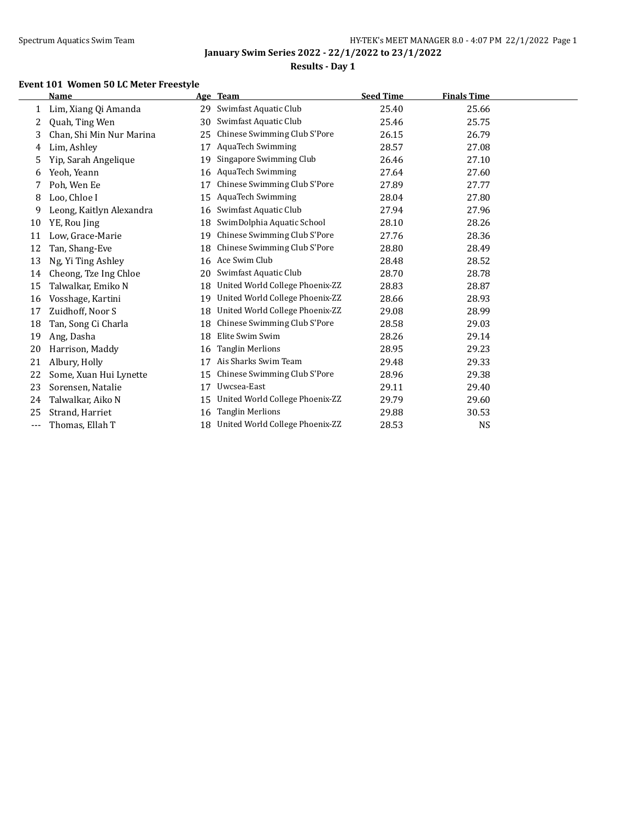$\overline{\phantom{0}}$ 

**January Swim Series 2022 - 22/1/2022 to 23/1/2022**

## **Results - Day 1**

## **Event 101 Women 50 LC Meter Freestyle**

|     | <b>Name</b>              |    | Age Team                        | <b>Seed Time</b> | <b>Finals Time</b> |  |
|-----|--------------------------|----|---------------------------------|------------------|--------------------|--|
| 1   | Lim, Xiang Qi Amanda     | 29 | Swimfast Aquatic Club           | 25.40            | 25.66              |  |
| 2   | Quah, Ting Wen           | 30 | Swimfast Aquatic Club           | 25.46            | 25.75              |  |
| 3   | Chan, Shi Min Nur Marina | 25 | Chinese Swimming Club S'Pore    | 26.15            | 26.79              |  |
| 4   | Lim, Ashley              | 17 | <b>AquaTech Swimming</b>        | 28.57            | 27.08              |  |
| 5   | Yip, Sarah Angelique     | 19 | Singapore Swimming Club         | 26.46            | 27.10              |  |
| 6   | Yeoh, Yeann              | 16 | <b>AquaTech Swimming</b>        | 27.64            | 27.60              |  |
| 7   | Poh, Wen Ee              | 17 | Chinese Swimming Club S'Pore    | 27.89            | 27.77              |  |
| 8   | Loo, Chloe I             | 15 | <b>AquaTech Swimming</b>        | 28.04            | 27.80              |  |
| 9   | Leong, Kaitlyn Alexandra | 16 | Swimfast Aquatic Club           | 27.94            | 27.96              |  |
| 10  | YE, Rou Jing             | 18 | SwimDolphia Aquatic School      | 28.10            | 28.26              |  |
| 11  | Low, Grace-Marie         | 19 | Chinese Swimming Club S'Pore    | 27.76            | 28.36              |  |
| 12  | Tan, Shang-Eve           | 18 | Chinese Swimming Club S'Pore    | 28.80            | 28.49              |  |
| 13  | Ng, Yi Ting Ashley       | 16 | Ace Swim Club                   | 28.48            | 28.52              |  |
| 14  | Cheong, Tze Ing Chloe    | 20 | Swimfast Aquatic Club           | 28.70            | 28.78              |  |
| 15  | Talwalkar, Emiko N       | 18 | United World College Phoenix-ZZ | 28.83            | 28.87              |  |
| 16  | Vosshage, Kartini        | 19 | United World College Phoenix-ZZ | 28.66            | 28.93              |  |
| 17  | Zuidhoff, Noor S         | 18 | United World College Phoenix-ZZ | 29.08            | 28.99              |  |
| 18  | Tan, Song Ci Charla      | 18 | Chinese Swimming Club S'Pore    | 28.58            | 29.03              |  |
| 19  | Ang, Dasha               | 18 | Elite Swim Swim                 | 28.26            | 29.14              |  |
| 20  | Harrison, Maddy          | 16 | <b>Tanglin Merlions</b>         | 28.95            | 29.23              |  |
| 21  | Albury, Holly            | 17 | Ais Sharks Swim Team            | 29.48            | 29.33              |  |
| 22  | Some, Xuan Hui Lynette   | 15 | Chinese Swimming Club S'Pore    | 28.96            | 29.38              |  |
| 23  | Sorensen, Natalie        | 17 | Uwcsea-East                     | 29.11            | 29.40              |  |
| 24  | Talwalkar, Aiko N        | 15 | United World College Phoenix-ZZ | 29.79            | 29.60              |  |
| 25  | Strand, Harriet          | 16 | <b>Tanglin Merlions</b>         | 29.88            | 30.53              |  |
| --- | Thomas, Ellah T          | 18 | United World College Phoenix-ZZ | 28.53            | <b>NS</b>          |  |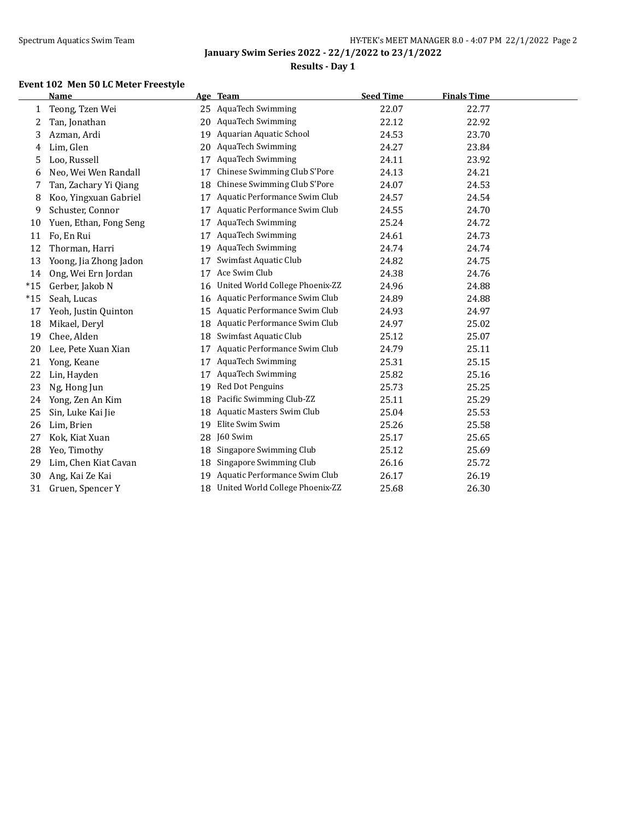## **Results - Day 1**

### **Event 102 Men 50 LC Meter Freestyle**

|       | <b>Name</b>            |    | Age Team                        | <b>Seed Time</b> | <b>Finals Time</b> |
|-------|------------------------|----|---------------------------------|------------------|--------------------|
| 1     | Teong, Tzen Wei        | 25 | <b>AquaTech Swimming</b>        | 22.07            | 22.77              |
| 2     | Tan, Jonathan          | 20 | <b>AquaTech Swimming</b>        | 22.12            | 22.92              |
| 3     | Azman, Ardi            | 19 | Aquarian Aquatic School         | 24.53            | 23.70              |
| 4     | Lim, Glen              | 20 | <b>AquaTech Swimming</b>        | 24.27            | 23.84              |
| 5     | Loo, Russell           | 17 | <b>AquaTech Swimming</b>        | 24.11            | 23.92              |
| 6     | Neo, Wei Wen Randall   | 17 | Chinese Swimming Club S'Pore    | 24.13            | 24.21              |
| 7     | Tan, Zachary Yi Qiang  | 18 | Chinese Swimming Club S'Pore    | 24.07            | 24.53              |
| 8     | Koo, Yingxuan Gabriel  | 17 | Aquatic Performance Swim Club   | 24.57            | 24.54              |
| 9     | Schuster, Connor       | 17 | Aquatic Performance Swim Club   | 24.55            | 24.70              |
| 10    | Yuen, Ethan, Fong Seng | 17 | <b>AquaTech Swimming</b>        | 25.24            | 24.72              |
| 11    | Fo, En Rui             | 17 | <b>AquaTech Swimming</b>        | 24.61            | 24.73              |
| 12    | Thorman, Harri         | 19 | <b>AquaTech Swimming</b>        | 24.74            | 24.74              |
| 13    | Yoong, Jia Zhong Jadon | 17 | Swimfast Aquatic Club           | 24.82            | 24.75              |
| 14    | Ong, Wei Ern Jordan    | 17 | Ace Swim Club                   | 24.38            | 24.76              |
| $*15$ | Gerber, Jakob N        | 16 | United World College Phoenix-ZZ | 24.96            | 24.88              |
| $*15$ | Seah, Lucas            | 16 | Aquatic Performance Swim Club   | 24.89            | 24.88              |
| 17    | Yeoh, Justin Quinton   | 15 | Aquatic Performance Swim Club   | 24.93            | 24.97              |
| 18    | Mikael, Deryl          | 18 | Aquatic Performance Swim Club   | 24.97            | 25.02              |
| 19    | Chee, Alden            | 18 | Swimfast Aquatic Club           | 25.12            | 25.07              |
| 20    | Lee, Pete Xuan Xian    | 17 | Aquatic Performance Swim Club   | 24.79            | 25.11              |
| 21    | Yong, Keane            | 17 | <b>AquaTech Swimming</b>        | 25.31            | 25.15              |
| 22    | Lin, Hayden            | 17 | <b>AquaTech Swimming</b>        | 25.82            | 25.16              |
| 23    | Ng, Hong Jun           | 19 | Red Dot Penguins                | 25.73            | 25.25              |
| 24    | Yong, Zen An Kim       | 18 | Pacific Swimming Club-ZZ        | 25.11            | 25.29              |
| 25    | Sin, Luke Kai Jie      | 18 | Aquatic Masters Swim Club       | 25.04            | 25.53              |
| 26    | Lim, Brien             | 19 | Elite Swim Swim                 | 25.26            | 25.58              |
| 27    | Kok, Kiat Xuan         | 28 | J60 Swim                        | 25.17            | 25.65              |
| 28    | Yeo, Timothy           | 18 | Singapore Swimming Club         | 25.12            | 25.69              |
| 29    | Lim, Chen Kiat Cavan   | 18 | Singapore Swimming Club         | 26.16            | 25.72              |
| 30    | Ang, Kai Ze Kai        | 19 | Aquatic Performance Swim Club   | 26.17            | 26.19              |
| 31    | Gruen, Spencer Y       | 18 | United World College Phoenix-ZZ | 25.68            | 26.30              |
|       |                        |    |                                 |                  |                    |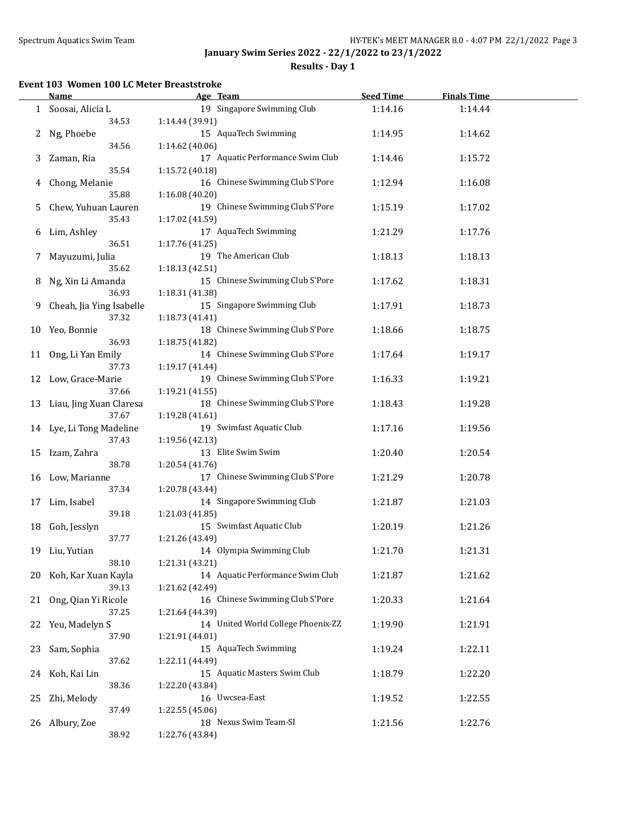**Results - Day 1**

### **Event 103 Women 100 LC Meter Breaststroke**

|    | <b>Name</b>                | Age Team                           | <b>Seed Time</b> | <b>Finals Time</b> |  |
|----|----------------------------|------------------------------------|------------------|--------------------|--|
|    | 1 Soosai, Alicia L         | 19 Singapore Swimming Club         | 1:14.16          | 1:14.44            |  |
|    | 34.53                      | 1:14.44 (39.91)                    |                  |                    |  |
| 2  | Ng, Phoebe                 | 15 AquaTech Swimming               | 1:14.95          | 1:14.62            |  |
|    | 34.56                      | 1:14.62 (40.06)                    |                  |                    |  |
|    |                            | 17 Aquatic Performance Swim Club   |                  |                    |  |
| 3  | Zaman, Ria                 |                                    | 1:14.46          | 1:15.72            |  |
|    | 35.54                      | 1:15.72 (40.18)                    |                  |                    |  |
| 4  | Chong, Melanie             | 16 Chinese Swimming Club S'Pore    | 1:12.94          | 1:16.08            |  |
|    | 35.88                      | 1:16.08 (40.20)                    |                  |                    |  |
| 5  | Chew, Yuhuan Lauren        | 19 Chinese Swimming Club S'Pore    | 1:15.19          | 1:17.02            |  |
|    | 35.43                      | 1:17.02 (41.59)                    |                  |                    |  |
| 6  | Lim, Ashley                | 17 AquaTech Swimming               | 1:21.29          | 1:17.76            |  |
|    | 36.51                      | 1:17.76 (41.25)                    |                  |                    |  |
| 7  | Mayuzumi, Julia            | 19 The American Club               | 1:18.13          | 1:18.13            |  |
|    | 35.62                      | 1:18.13 (42.51)                    |                  |                    |  |
| 8  | Ng, Xin Li Amanda          | 15 Chinese Swimming Club S'Pore    | 1:17.62          | 1:18.31            |  |
|    | 36.93                      | 1:18.31 (41.38)                    |                  |                    |  |
| 9  | Cheah, Jia Ying Isabelle   | 15 Singapore Swimming Club         | 1:17.91          | 1:18.73            |  |
|    |                            |                                    |                  |                    |  |
|    | 37.32                      | 1:18.73 (41.41)                    |                  |                    |  |
| 10 | Yeo, Bonnie                | 18 Chinese Swimming Club S'Pore    | 1:18.66          | 1:18.75            |  |
|    | 36.93                      | 1:18.75 (41.82)                    |                  |                    |  |
| 11 | Ong, Li Yan Emily          | 14 Chinese Swimming Club S'Pore    | 1:17.64          | 1:19.17            |  |
|    | 37.73                      | 1:19.17 (41.44)                    |                  |                    |  |
|    | 12 Low, Grace-Marie        | 19 Chinese Swimming Club S'Pore    | 1:16.33          | 1:19.21            |  |
|    | 37.66                      | 1:19.21 (41.55)                    |                  |                    |  |
|    | 13 Liau, Jing Xuan Claresa | 18 Chinese Swimming Club S'Pore    | 1:18.43          | 1:19.28            |  |
|    | 37.67                      | 1:19.28 (41.61)                    |                  |                    |  |
|    | 14 Lye, Li Tong Madeline   | 19 Swimfast Aquatic Club           | 1:17.16          | 1:19.56            |  |
|    | 37.43                      | 1:19.56 (42.13)                    |                  |                    |  |
|    | 15 Izam, Zahra             | 13 Elite Swim Swim                 | 1:20.40          | 1:20.54            |  |
|    | 38.78                      | 1:20.54 (41.76)                    |                  |                    |  |
|    | 16 Low, Marianne           | 17 Chinese Swimming Club S'Pore    | 1:21.29          | 1:20.78            |  |
|    | 37.34                      | 1:20.78 (43.44)                    |                  |                    |  |
|    |                            | 14 Singapore Swimming Club         |                  | 1:21.03            |  |
| 17 | Lim, Isabel                |                                    | 1:21.87          |                    |  |
|    | 39.18                      | 1:21.03 (41.85)                    |                  |                    |  |
| 18 | Goh, Jesslyn               | 15 Swimfast Aquatic Club           | 1:20.19          | 1:21.26            |  |
|    | 37.77                      | 1:21.26 (43.49)                    |                  |                    |  |
|    | 19 Liu, Yutian             | 14 Olympia Swimming Club           | 1:21.70          | 1:21.31            |  |
|    | 38.10                      | 1:21.31 (43.21)                    |                  |                    |  |
| 20 | Koh, Kar Xuan Kayla        | 14 Aquatic Performance Swim Club   | 1:21.87          | 1:21.62            |  |
|    | 39.13                      | 1:21.62 (42.49)                    |                  |                    |  |
| 21 | Ong, Qian Yi Ricole        | 16 Chinese Swimming Club S'Pore    | 1:20.33          | 1:21.64            |  |
|    | 37.25                      | 1:21.64 (44.39)                    |                  |                    |  |
| 22 | Yeu, Madelyn S             | 14 United World College Phoenix-ZZ | 1:19.90          | 1:21.91            |  |
|    | 37.90                      | 1:21.91 (44.01)                    |                  |                    |  |
| 23 | Sam, Sophia                | 15 AquaTech Swimming               | 1:19.24          | 1:22.11            |  |
|    | 37.62                      | 1:22.11 (44.49)                    |                  |                    |  |
|    | Koh, Kai Lin               | 15 Aquatic Masters Swim Club       |                  |                    |  |
| 24 |                            |                                    | 1:18.79          | 1:22.20            |  |
|    | 38.36                      | 1:22.20 (43.84)                    |                  |                    |  |
| 25 | Zhi, Melody                | 16 Uwcsea-East                     | 1:19.52          | 1:22.55            |  |
|    | 37.49                      | 1:22.55 (45.06)                    |                  |                    |  |
|    | 26 Albury, Zoe             | 18 Nexus Swim Team-SI              | 1:21.56          | 1:22.76            |  |
|    | 38.92                      | 1:22.76 (43.84)                    |                  |                    |  |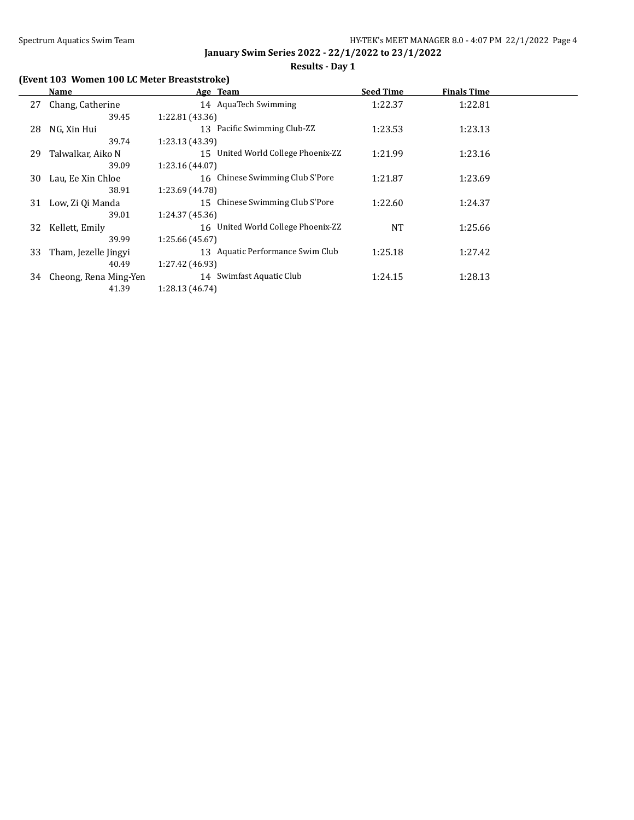# **(Event 103 Women 100 LC Meter Breaststroke)**

|    | Name                  | Age Team                           | <b>Seed Time</b> | <b>Finals Time</b> |  |
|----|-----------------------|------------------------------------|------------------|--------------------|--|
| 27 | Chang, Catherine      | 14 AquaTech Swimming               | 1:22.37          | 1:22.81            |  |
|    | 39.45                 | 1:22.81 (43.36)                    |                  |                    |  |
| 28 | NG, Xin Hui           | 13 Pacific Swimming Club-ZZ        | 1:23.53          | 1:23.13            |  |
|    | 39.74                 | 1:23.13 (43.39)                    |                  |                    |  |
| 29 | Talwalkar, Aiko N     | 15 United World College Phoenix-ZZ | 1:21.99          | 1:23.16            |  |
|    | 39.09                 | 1:23.16 (44.07)                    |                  |                    |  |
| 30 | Lau, Ee Xin Chloe     | 16 Chinese Swimming Club S'Pore    | 1:21.87          | 1:23.69            |  |
|    | 38.91                 | 1:23.69 (44.78)                    |                  |                    |  |
| 31 | Low, Zi Qi Manda      | 15 Chinese Swimming Club S'Pore    | 1:22.60          | 1:24.37            |  |
|    | 39.01                 | 1:24.37 (45.36)                    |                  |                    |  |
| 32 | Kellett, Emily        | 16 United World College Phoenix-ZZ | <b>NT</b>        | 1:25.66            |  |
|    | 39.99                 | 1:25.66 (45.67)                    |                  |                    |  |
| 33 | Tham, Jezelle Jingyi  | 13 Aquatic Performance Swim Club   | 1:25.18          | 1:27.42            |  |
|    | 40.49                 | 1:27.42 (46.93)                    |                  |                    |  |
| 34 | Cheong, Rena Ming-Yen | 14 Swimfast Aquatic Club           | 1:24.15          | 1:28.13            |  |
|    | 41.39                 | 1:28.13 (46.74)                    |                  |                    |  |

## **Results - Day 1**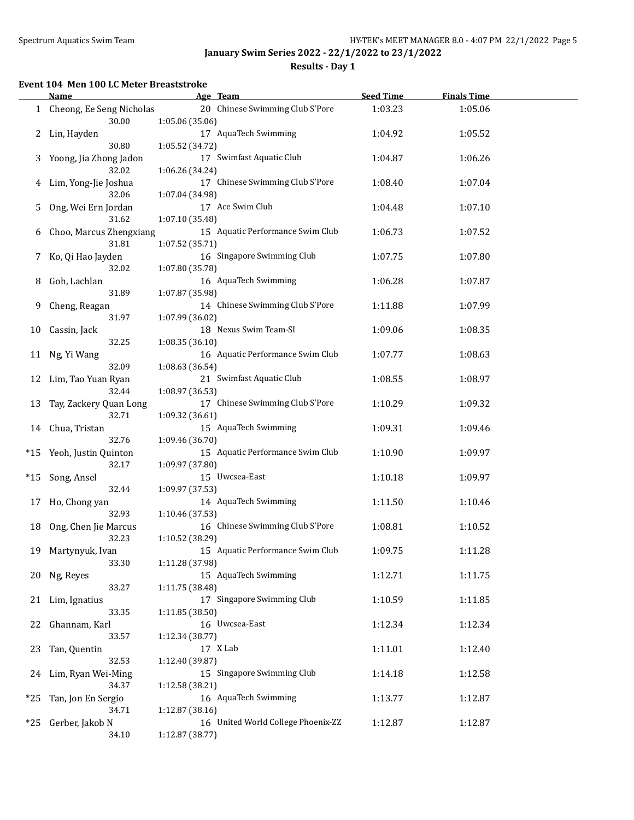$\overline{a}$ 

**January Swim Series 2022 - 22/1/2022 to 23/1/2022**

**Results - Day 1**

### **Event 104 Men 100 LC Meter Breaststroke**

|       | Name                                | Age Team                                              | <b>Seed Time</b> | <b>Finals Time</b> |  |
|-------|-------------------------------------|-------------------------------------------------------|------------------|--------------------|--|
|       | 1 Cheong, Ee Seng Nicholas<br>30.00 | 20 Chinese Swimming Club S'Pore<br>1:05.06 (35.06)    | 1:03.23          | 1:05.06            |  |
|       | 2 Lin, Hayden                       | 17 AquaTech Swimming                                  | 1:04.92          | 1:05.52            |  |
| 3     | 30.80<br>Yoong, Jia Zhong Jadon     | 1:05.52 (34.72)<br>17 Swimfast Aquatic Club           | 1:04.87          | 1:06.26            |  |
| 4     | 32.02<br>Lim, Yong-Jie Joshua       | 1:06.26 (34.24)<br>17 Chinese Swimming Club S'Pore    | 1:08.40          | 1:07.04            |  |
| 5.    | 32.06<br>Ong, Wei Ern Jordan        | 1:07.04 (34.98)<br>17 Ace Swim Club                   | 1:04.48          | 1:07.10            |  |
| 6     | 31.62<br>Choo, Marcus Zhengxiang    | 1:07.10 (35.48)<br>15 Aquatic Performance Swim Club   | 1:06.73          | 1:07.52            |  |
| 7     | 31.81<br>Ko, Qi Hao Jayden          | 1:07.52 (35.71)<br>16 Singapore Swimming Club         | 1:07.75          | 1:07.80            |  |
| 8     | 32.02<br>Goh, Lachlan               | 1:07.80 (35.78)<br>16 AquaTech Swimming               | 1:06.28          | 1:07.87            |  |
| 9     | 31.89<br>Cheng, Reagan              | 1:07.87 (35.98)<br>14 Chinese Swimming Club S'Pore    | 1:11.88          | 1:07.99            |  |
| 10    | 31.97<br>Cassin, Jack               | 1:07.99 (36.02)<br>18 Nexus Swim Team-SI              | 1:09.06          | 1:08.35            |  |
| 11    | 32.25<br>Ng, Yi Wang                | 1:08.35 (36.10)<br>16 Aquatic Performance Swim Club   | 1:07.77          | 1:08.63            |  |
|       | 32.09                               | 1:08.63 (36.54)<br>21 Swimfast Aquatic Club           |                  |                    |  |
| 12    | Lim, Tao Yuan Ryan<br>32.44         | 1:08.97 (36.53)                                       | 1:08.55          | 1:08.97            |  |
| 13    | Tay, Zackery Quan Long<br>32.71     | 17 Chinese Swimming Club S'Pore<br>1:09.32 (36.61)    | 1:10.29          | 1:09.32            |  |
| 14    | Chua, Tristan<br>32.76              | 15 AquaTech Swimming<br>1:09.46 (36.70)               | 1:09.31          | 1:09.46            |  |
| $*15$ | Yeoh, Justin Quinton<br>32.17       | 15 Aquatic Performance Swim Club<br>1:09.97 (37.80)   | 1:10.90          | 1:09.97            |  |
| $*15$ | Song, Ansel<br>32.44                | 15 Uwcsea-East<br>1:09.97 (37.53)                     | 1:10.18          | 1:09.97            |  |
| 17    | Ho, Chong yan<br>32.93              | 14 AquaTech Swimming<br>1:10.46 (37.53)               | 1:11.50          | 1:10.46            |  |
| 18    | Ong, Chen Jie Marcus<br>32.23       | 16 Chinese Swimming Club S'Pore<br>1:10.52 (38.29)    | 1:08.81          | 1:10.52            |  |
| 19    | Martynyuk, Ivan<br>33.30            | 15 Aquatic Performance Swim Club<br>1:11.28 (37.98)   | 1:09.75          | 1:11.28            |  |
| 20    | Ng, Reyes<br>33.27                  | 15 AquaTech Swimming<br>1:11.75 (38.48)               | 1:12.71          | 1:11.75            |  |
| 21    | Lim, Ignatius<br>33.35              | 17 Singapore Swimming Club<br>1:11.85 (38.50)         | 1:10.59          | 1:11.85            |  |
| 22    | Ghannam, Karl                       | 16 Uwcsea-East                                        | 1:12.34          | 1:12.34            |  |
| 23    | 33.57<br>Tan, Quentin               | 1:12.34 (38.77)<br>17 X Lab                           | 1:11.01          | 1:12.40            |  |
| 24    | 32.53<br>Lim, Ryan Wei-Ming         | 1:12.40 (39.87)<br>15 Singapore Swimming Club         | 1:14.18          | 1:12.58            |  |
| $*25$ | 34.37<br>Tan, Jon En Sergio         | 1:12.58 (38.21)<br>16 AquaTech Swimming               | 1:13.77          | 1:12.87            |  |
| $*25$ | 34.71<br>Gerber, Jakob N            | 1:12.87 (38.16)<br>16 United World College Phoenix-ZZ | 1:12.87          | 1:12.87            |  |
|       | 34.10                               | 1:12.87 (38.77)                                       |                  |                    |  |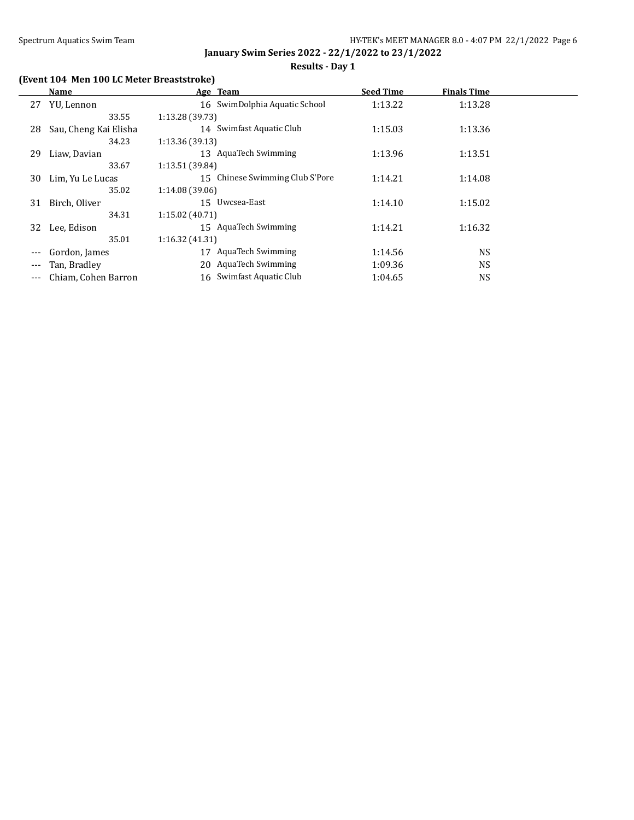## **Results - Day 1**

# **(Event 104 Men 100 LC Meter Breaststroke)**

|         | Name                  | Age Team                        | <b>Seed Time</b> | <b>Finals Time</b> |  |
|---------|-----------------------|---------------------------------|------------------|--------------------|--|
| 27      | YU, Lennon            | 16 SwimDolphia Aquatic School   | 1:13.22          | 1:13.28            |  |
|         | 33.55                 | 1:13.28 (39.73)                 |                  |                    |  |
| 28      | Sau, Cheng Kai Elisha | 14 Swimfast Aquatic Club        | 1:15.03          | 1:13.36            |  |
|         | 34.23                 | 1:13.36(39.13)                  |                  |                    |  |
| 29      | Liaw, Davian          | 13 AquaTech Swimming            | 1:13.96          | 1:13.51            |  |
|         | 33.67                 | 1:13.51 (39.84)                 |                  |                    |  |
| 30      | Lim, Yu Le Lucas      | 15 Chinese Swimming Club S'Pore | 1:14.21          | 1:14.08            |  |
|         | 35.02                 | 1:14.08 (39.06)                 |                  |                    |  |
| 31      | Birch, Oliver         | 15 Uwcsea-East                  | 1:14.10          | 1:15.02            |  |
|         | 34.31                 | 1:15.02(40.71)                  |                  |                    |  |
| 32      | Lee, Edison           | 15 AquaTech Swimming            | 1:14.21          | 1:16.32            |  |
|         | 35.01                 | 1:16.32(41.31)                  |                  |                    |  |
|         | Gordon, James         | <b>AquaTech Swimming</b><br>17  | 1:14.56          | <b>NS</b>          |  |
|         | Tan, Bradley          | 20 AquaTech Swimming            | 1:09.36          | <b>NS</b>          |  |
| $- - -$ | Chiam, Cohen Barron   | 16 Swimfast Aquatic Club        | 1:04.65          | NS                 |  |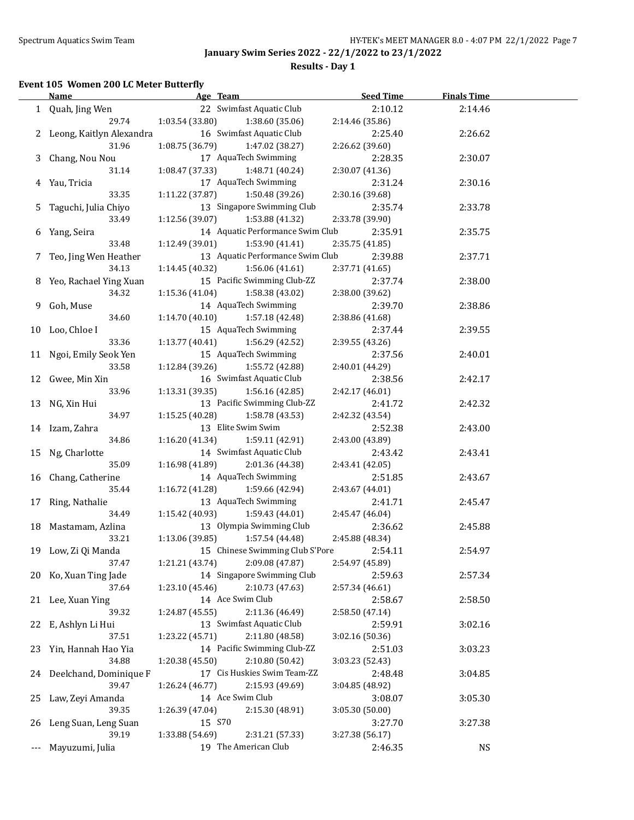**Results - Day 1**

## **Event 105 Women 200 LC Meter Butterfly**

|     | <b>Name</b>                   | Age Team                           | <b>Seed Time</b> | <b>Finals Time</b> |  |
|-----|-------------------------------|------------------------------------|------------------|--------------------|--|
|     | 1 Quah, Jing Wen              | 22 Swimfast Aquatic Club           | 2:10.12          | 2:14.46            |  |
|     | 29.74                         | 1:03.54 (33.80)<br>1:38.60 (35.06) | 2:14.46 (35.86)  |                    |  |
|     | 2 Leong, Kaitlyn Alexandra    | 16 Swimfast Aquatic Club           | 2:25.40          | 2:26.62            |  |
|     | 31.96                         | 1:08.75 (36.79)<br>1:47.02 (38.27) | 2:26.62 (39.60)  |                    |  |
|     | 3 Chang, Nou Nou              | 17 AquaTech Swimming               | 2:28.35          | 2:30.07            |  |
|     | 31.14                         | 1:08.47 (37.33)<br>1:48.71 (40.24) | 2:30.07 (41.36)  |                    |  |
|     | 4 Yau, Tricia                 | 17 AquaTech Swimming               | 2:31.24          | 2:30.16            |  |
|     | 33.35                         | 1:11.22 (37.87)<br>1:50.48 (39.26) | 2:30.16 (39.68)  |                    |  |
| 5   | Taguchi, Julia Chiyo          | 13 Singapore Swimming Club         | 2:35.74          | 2:33.78            |  |
|     | 33.49                         | 1:53.88 (41.32)<br>1:12.56 (39.07) | 2:33.78 (39.90)  |                    |  |
|     | 6 Yang, Seira                 | 14 Aquatic Performance Swim Club   | 2:35.91          | 2:35.75            |  |
|     | 33.48                         | 1:12.49(39.01)<br>1:53.90 (41.41)  | 2:35.75 (41.85)  |                    |  |
|     | 7 Teo, Jing Wen Heather       | 13 Aquatic Performance Swim Club   | 2:39.88          | 2:37.71            |  |
|     | 34.13                         | 1:14.45 (40.32)                    |                  |                    |  |
|     |                               | 1:56.06 (41.61)                    | 2:37.71 (41.65)  |                    |  |
|     | 8 Yeo, Rachael Ying Xuan      | 15 Pacific Swimming Club-ZZ        | 2:37.74          | 2:38.00            |  |
|     | 34.32                         | 1:15.36(41.04)<br>1:58.38 (43.02)  | 2:38.00 (39.62)  |                    |  |
|     | 9 Goh, Muse                   | 14 AquaTech Swimming               | 2:39.70          | 2:38.86            |  |
|     | 34.60                         | 1:14.70(40.10)<br>1:57.18 (42.48)  | 2:38.86 (41.68)  |                    |  |
|     | 10 Loo, Chloe I               | 15 AquaTech Swimming               | 2:37.44          | 2:39.55            |  |
|     | 33.36                         | 1:13.77(40.41)<br>1:56.29 (42.52)  | 2:39.55 (43.26)  |                    |  |
|     | 11 Ngoi, Emily Seok Yen       | 15 AquaTech Swimming               | 2:37.56          | 2:40.01            |  |
|     | 33.58                         | 1:12.84(39.26)<br>1:55.72 (42.88)  | 2:40.01 (44.29)  |                    |  |
|     | 12 Gwee, Min Xin              | 16 Swimfast Aquatic Club           | 2:38.56          | 2:42.17            |  |
|     | 33.96                         | 1:13.31 (39.35)<br>1:56.16 (42.85) | 2:42.17 (46.01)  |                    |  |
|     | 13 NG, Xin Hui                | 13 Pacific Swimming Club-ZZ        | 2:41.72          | 2:42.32            |  |
|     | 34.97                         | 1:15.25(40.28)<br>1:58.78 (43.53)  | 2:42.32 (43.54)  |                    |  |
|     | 14 Izam, Zahra                | 13 Elite Swim Swim                 | 2:52.38          | 2:43.00            |  |
|     | 34.86                         | 1:16.20(41.34)<br>1:59.11 (42.91)  | 2:43.00 (43.89)  |                    |  |
|     | 15 Ng, Charlotte              | 14 Swimfast Aquatic Club           | 2:43.42          | 2:43.41            |  |
|     | 35.09                         | 1:16.98(41.89)<br>2:01.36 (44.38)  | 2:43.41 (42.05)  |                    |  |
|     | 16 Chang, Catherine           | 14 AquaTech Swimming               | 2:51.85          | 2:43.67            |  |
|     | 35.44                         | 1:16.72(41.28)<br>1:59.66 (42.94)  | 2:43.67 (44.01)  |                    |  |
|     | 17 Ring, Nathalie             | 13 AquaTech Swimming               | 2:41.71          | 2:45.47            |  |
|     | 34.49                         | 1:15.42 (40.93)<br>1:59.43 (44.01) | 2:45.47 (46.04)  |                    |  |
|     | 18 Mastamam, Azlina           | 13 Olympia Swimming Club           | 2:36.62          | 2:45.88            |  |
|     | 33.21                         | 1:13.06 (39.85)<br>1:57.54 (44.48) | 2:45.88 (48.34)  |                    |  |
|     | 19 Low, Zi Qi Manda           | 15 Chinese Swimming Club S'Pore    | 2:54.11          | 2:54.97            |  |
|     | 37.47                         | 1:21.21 (43.74)<br>2:09.08 (47.87) | 2:54.97 (45.89)  |                    |  |
|     | 20 Ko, Xuan Ting Jade         | 14 Singapore Swimming Club         | 2:59.63          | 2:57.34            |  |
|     | 37.64                         | 2:10.73 (47.63)<br>1:23.10 (45.46) | 2:57.34 (46.61)  |                    |  |
| 21  | Lee, Xuan Ying                | 14 Ace Swim Club                   | 2:58.67          | 2:58.50            |  |
|     | 39.32                         | 2:11.36 (46.49)<br>1:24.87 (45.55) | 2:58.50 (47.14)  |                    |  |
| 22  | E, Ashlyn Li Hui              | 13 Swimfast Aquatic Club           | 2:59.91          | 3:02.16            |  |
|     | 37.51                         | 1:23.22 (45.71)<br>2:11.80 (48.58) | 3:02.16 (50.36)  |                    |  |
|     | 23 Yin, Hannah Hao Yia        | 14 Pacific Swimming Club-ZZ        | 2:51.03          | 3:03.23            |  |
|     | 34.88                         | 1:20.38 (45.50)<br>2:10.80 (50.42) | 3:03.23 (52.43)  |                    |  |
| 24  | Deelchand, Dominique F        | 17 Cis Huskies Swim Team-ZZ        | 2:48.48          | 3:04.85            |  |
|     | 39.47                         | 2:15.93 (49.69)<br>1:26.24 (46.77) | 3:04.85 (48.92)  |                    |  |
| 25  | Law, Zeyi Amanda              | 14 Ace Swim Club                   | 3:08.07          | 3:05.30            |  |
|     | 39.35                         | 2:15.30 (48.91)<br>1:26.39 (47.04) | 3:05.30 (50.00)  |                    |  |
|     |                               | 15 S70                             |                  |                    |  |
| 26  | Leng Suan, Leng Suan<br>39.19 |                                    | 3:27.70          | 3:27.38            |  |
|     |                               | 1:33.88 (54.69)<br>2:31.21 (57.33) | 3:27.38 (56.17)  |                    |  |
| --- | Mayuzumi, Julia               | 19 The American Club               | 2:46.35          | <b>NS</b>          |  |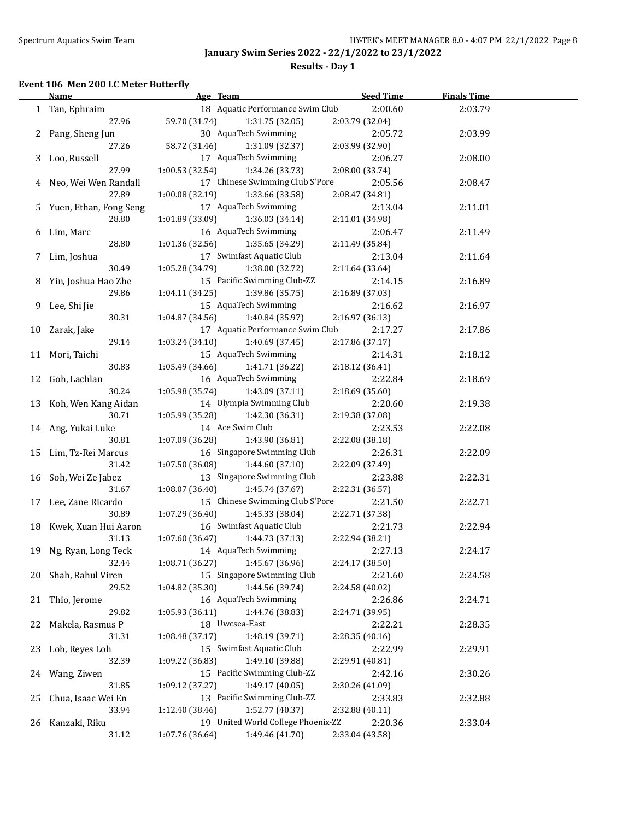**Results - Day 1**

### **Event 106 Men 200 LC Meter Butterfly**

|    | Name                     | Age Team                           | <b>Seed Time</b> | <b>Finals Time</b> |  |
|----|--------------------------|------------------------------------|------------------|--------------------|--|
|    | 1 Tan, Ephraim           | 18 Aquatic Performance Swim Club   | 2:00.60          | 2:03.79            |  |
|    | 27.96                    | 59.70 (31.74)<br>1:31.75 (32.05)   | 2:03.79 (32.04)  |                    |  |
|    | 2 Pang, Sheng Jun        | 30 AquaTech Swimming               | 2:05.72          | 2:03.99            |  |
|    | 27.26                    | 58.72 (31.46)<br>1:31.09 (32.37)   | 2:03.99 (32.90)  |                    |  |
|    | 3 Loo, Russell           | 17 AquaTech Swimming               | 2:06.27          | 2:08.00            |  |
|    | 27.99                    | 1:00.53(32.54)<br>1:34.26 (33.73)  | 2:08.00 (33.74)  |                    |  |
|    | 4 Neo, Wei Wen Randall   | 17 Chinese Swimming Club S'Pore    | 2:05.56          | 2:08.47            |  |
|    | 27.89                    | 1:00.08(32.19)<br>1:33.66 (33.58)  | 2:08.47 (34.81)  |                    |  |
|    | 5 Yuen, Ethan, Fong Seng | 17 AquaTech Swimming               | 2:13.04          | 2:11.01            |  |
|    | 28.80                    | 1:01.89(33.09)<br>1:36.03 (34.14)  | 2:11.01 (34.98)  |                    |  |
|    | 6 Lim, Marc              | 16 AquaTech Swimming               | 2:06.47          | 2:11.49            |  |
|    | 28.80                    | 1:01.36(32.56)<br>1:35.65 (34.29)  | 2:11.49 (35.84)  |                    |  |
|    | 7 Lim, Joshua            | 17 Swimfast Aquatic Club           | 2:13.04          | 2:11.64            |  |
|    | 30.49                    | 1:05.28(34.79)<br>1:38.00 (32.72)  | 2:11.64 (33.64)  |                    |  |
|    | 8 Yin, Joshua Hao Zhe    | 15 Pacific Swimming Club-ZZ        | 2:14.15          | 2:16.89            |  |
|    | 29.86                    | 1:04.11(34.25)<br>1:39.86 (35.75)  | 2:16.89 (37.03)  |                    |  |
|    | 9 Lee, Shi Jie           | 15 AquaTech Swimming               | 2:16.62          | 2:16.97            |  |
|    | 30.31                    | 1:04.87(34.56)<br>1:40.84 (35.97)  | 2:16.97 (36.13)  |                    |  |
|    | 10 Zarak, Jake           | 17 Aquatic Performance Swim Club   | 2:17.27          | 2:17.86            |  |
|    | 29.14                    | 1:03.24(34.10)<br>1:40.69 (37.45)  | 2:17.86 (37.17)  |                    |  |
|    | 11 Mori, Taichi          | 15 AquaTech Swimming               | 2:14.31          | 2:18.12            |  |
|    | 30.83                    | 1:05.49(34.66)<br>1:41.71 (36.22)  | 2:18.12 (36.41)  |                    |  |
|    | 12 Goh, Lachlan          | 16 AquaTech Swimming               | 2:22.84          | 2:18.69            |  |
|    | 30.24                    | 1:05.98 (35.74)<br>1:43.09 (37.11) | 2:18.69 (35.60)  |                    |  |
|    | 13 Koh, Wen Kang Aidan   | 14 Olympia Swimming Club           | 2:20.60          | 2:19.38            |  |
|    | 30.71                    | 1:05.99 (35.28)<br>1:42.30 (36.31) | 2:19.38 (37.08)  |                    |  |
|    | 14 Ang, Yukai Luke       | 14 Ace Swim Club                   | 2:23.53          | 2:22.08            |  |
|    | 30.81                    | 1:07.09(36.28)<br>1:43.90 (36.81)  | 2:22.08 (38.18)  |                    |  |
|    | 15 Lim, Tz-Rei Marcus    | 16 Singapore Swimming Club         | 2:26.31          | 2:22.09            |  |
|    | 31.42                    | 1:07.50 (36.08)<br>1:44.60(37.10)  | 2:22.09 (37.49)  |                    |  |
|    | 16 Soh, Wei Ze Jabez     | 13 Singapore Swimming Club         | 2:23.88          | 2:22.31            |  |
|    | 31.67                    | 1:08.07 (36.40)<br>1:45.74 (37.67) | 2:22.31 (36.57)  |                    |  |
|    | 17 Lee, Zane Ricardo     | 15 Chinese Swimming Club S'Pore    | 2:21.50          | 2:22.71            |  |
|    | 30.89                    | 1:07.29 (36.40)<br>1:45.33 (38.04) | 2:22.71 (37.38)  |                    |  |
|    | 18 Kwek, Xuan Hui Aaron  | 16 Swimfast Aquatic Club           | 2:21.73          | 2:22.94            |  |
|    | 31.13                    | 1:07.60 (36.47)<br>1:44.73 (37.13) | 2:22.94 (38.21)  |                    |  |
|    | 19 Ng, Ryan, Long Teck   | 14 AquaTech Swimming               | 2:27.13          | 2:24.17            |  |
|    | 32.44                    | 1:45.67 (36.96)<br>1:08.71 (36.27) | 2:24.17 (38.50)  |                    |  |
| 20 | Shah, Rahul Viren        | 15 Singapore Swimming Club         | 2:21.60          | 2:24.58            |  |
|    | 29.52                    | 1:04.82 (35.30)<br>1:44.56 (39.74) | 2:24.58 (40.02)  |                    |  |
| 21 | Thio, Jerome             | 16 AquaTech Swimming               | 2:26.86          | 2:24.71            |  |
|    | 29.82                    | 1:05.93 (36.11)<br>1:44.76 (38.83) | 2:24.71 (39.95)  |                    |  |
| 22 | Makela, Rasmus P         | 18 Uwcsea-East                     | 2:22.21          | 2:28.35            |  |
|    | 31.31                    | 1:48.19 (39.71)<br>1:08.48(37.17)  | 2:28.35 (40.16)  |                    |  |
| 23 | Loh, Reyes Loh           | 15 Swimfast Aquatic Club           | 2:22.99          | 2:29.91            |  |
|    | 32.39                    | 1:49.10 (39.88)<br>1:09.22 (36.83) | 2:29.91 (40.81)  |                    |  |
|    | 24 Wang, Ziwen           | 15 Pacific Swimming Club-ZZ        | 2:42.16          | 2:30.26            |  |
|    | 31.85                    | 1:49.17 (40.05)<br>1:09.12 (37.27) | 2:30.26 (41.09)  |                    |  |
| 25 | Chua, Isaac Wei En       | 13 Pacific Swimming Club-ZZ        | 2:33.83          | 2:32.88            |  |
|    | 33.94                    | 1:52.77 (40.37)<br>1:12.40 (38.46) | 2:32.88 (40.11)  |                    |  |
|    | 26 Kanzaki, Riku         | 19 United World College Phoenix-ZZ | 2:20.36          | 2:33.04            |  |
|    | 31.12                    | 1:07.76 (36.64)<br>1:49.46 (41.70) | 2:33.04 (43.58)  |                    |  |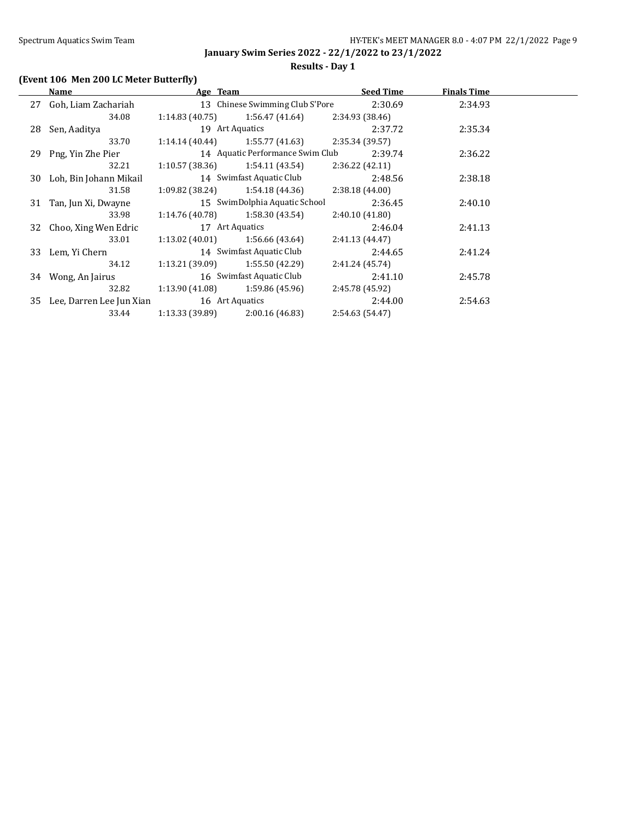## **Results - Day 1**

# **(Event 106 Men 200 LC Meter Butterfly)**

| Name                        | Age Team        |                                   | <b>Seed Time</b> | <b>Finals Time</b> |  |
|-----------------------------|-----------------|-----------------------------------|------------------|--------------------|--|
| 27 Goh, Liam Zachariah      |                 | 13 Chinese Swimming Club S'Pore   | 2:30.69          | 2:34.93            |  |
| 34.08                       | 1:14.83(40.75)  | 1:56.47 (41.64)                   | 2:34.93 (38.46)  |                    |  |
| 28 Sen, Aaditya             |                 | 19 Art Aquatics                   | 2:37.72          | 2:35.34            |  |
| 33.70                       |                 | $1:14.14(40.44)$ $1:55.77(41.63)$ | 2:35.34 (39.57)  |                    |  |
| 29 Png, Yin Zhe Pier        |                 | 14 Aquatic Performance Swim Club  | 2:39.74          | 2:36.22            |  |
| 32.21                       |                 | $1:10.57(38.36)$ $1:54.11(43.54)$ | 2:36.22(42.11)   |                    |  |
| 30 Loh, Bin Johann Mikail   |                 | 14 Swimfast Aquatic Club          | 2:48.56          | 2:38.18            |  |
| 31.58                       | 1:09.82 (38.24) | 1:54.18 (44.36)                   | 2:38.18 (44.00)  |                    |  |
| 31 Tan, Jun Xi, Dwayne      |                 | 15 SwimDolphia Aquatic School     | 2:36.45          | 2:40.10            |  |
| 33.98                       | 1:14.76 (40.78) | 1:58.30 (43.54)                   | 2:40.10(41.80)   |                    |  |
| 32 Choo, Xing Wen Edric     |                 | 17 Art Aquatics                   | 2:46.04          | 2:41.13            |  |
| 33.01                       |                 | $1:13.02(40.01)$ $1:56.66(43.64)$ | 2:41.13 (44.47)  |                    |  |
| 33 Lem, Yi Chern            |                 | 14 Swimfast Aquatic Club          | 2:44.65          | 2:41.24            |  |
| 34.12                       |                 | $1:13.21(39.09)$ $1:55.50(42.29)$ | 2:41.24 (45.74)  |                    |  |
| 34 Wong, An Jairus          |                 | 16 Swimfast Aquatic Club          | 2:41.10          | 2:45.78            |  |
| 32.82                       | 1:13.90 (41.08) | 1:59.86 (45.96)                   | 2:45.78 (45.92)  |                    |  |
| 35 Lee, Darren Lee Jun Xian |                 | 16 Art Aquatics                   | 2:44.00          | 2:54.63            |  |
| 33.44                       | 1:13.33 (39.89) | 2:00.16(46.83)                    | 2:54.63 (54.47)  |                    |  |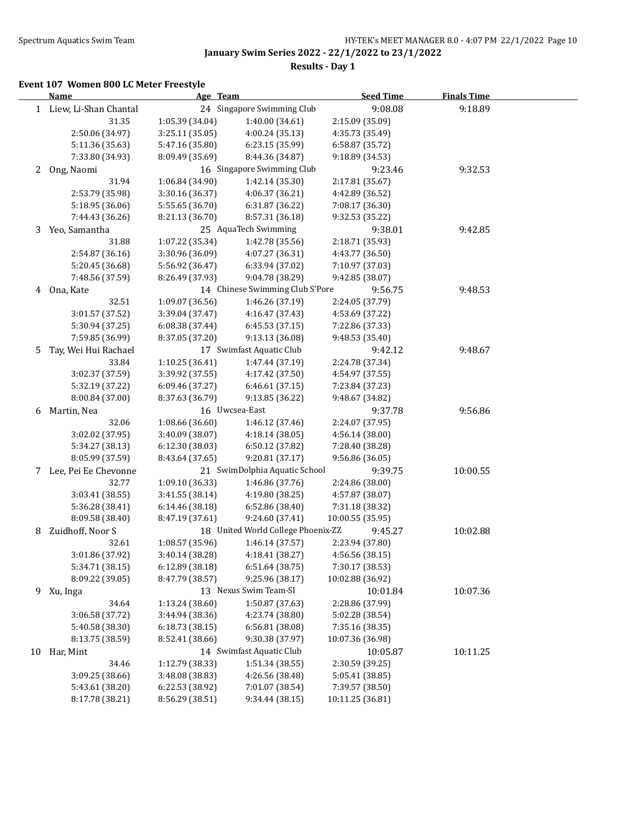**Results - Day 1**

### **Event 107 Women 800 LC Meter Freestyle**

|    | Name                    | Age Team        |                                    | <b>Seed Time</b> | <b>Finals Time</b> |  |
|----|-------------------------|-----------------|------------------------------------|------------------|--------------------|--|
|    | 1 Liew, Li-Shan Chantal |                 | 24 Singapore Swimming Club         | 9:08.08          | 9:18.89            |  |
|    | 31.35                   | 1:05.39 (34.04) | 1:40.00 (34.61)                    | 2:15.09 (35.09)  |                    |  |
|    | 2:50.06 (34.97)         | 3:25.11 (35.05) | 4:00.24 (35.13)                    | 4:35.73 (35.49)  |                    |  |
|    | 5:11.36 (35.63)         | 5:47.16 (35.80) | 6:23.15 (35.99)                    | 6:58.87 (35.72)  |                    |  |
|    | 7:33.80 (34.93)         | 8:09.49 (35.69) | 8:44.36 (34.87)                    | 9:18.89 (34.53)  |                    |  |
| 2  | Ong, Naomi              |                 | 16 Singapore Swimming Club         | 9:23.46          | 9:32.53            |  |
|    | 31.94                   | 1:06.84 (34.90) | 1:42.14 (35.30)                    | 2:17.81 (35.67)  |                    |  |
|    | 2:53.79 (35.98)         | 3:30.16 (36.37) | 4:06.37 (36.21)                    | 4:42.89 (36.52)  |                    |  |
|    | 5:18.95 (36.06)         | 5:55.65 (36.70) | 6:31.87 (36.22)                    | 7:08.17 (36.30)  |                    |  |
|    | 7:44.43 (36.26)         | 8:21.13 (36.70) | 8:57.31 (36.18)                    | 9:32.53 (35.22)  |                    |  |
| 3  | Yeo, Samantha           |                 | 25 AquaTech Swimming               | 9:38.01          | 9:42.85            |  |
|    | 31.88                   | 1:07.22 (35.34) | 1:42.78 (35.56)                    | 2:18.71 (35.93)  |                    |  |
|    | 2:54.87 (36.16)         | 3:30.96 (36.09) | 4:07.27 (36.31)                    | 4:43.77 (36.50)  |                    |  |
|    | 5:20.45 (36.68)         | 5:56.92 (36.47) | 6:33.94 (37.02)                    | 7:10.97 (37.03)  |                    |  |
|    | 7:48.56 (37.59)         | 8:26.49 (37.93) | 9:04.78 (38.29)                    | 9:42.85 (38.07)  |                    |  |
|    |                         |                 | 14 Chinese Swimming Club S'Pore    |                  | 9:48.53            |  |
| 4  | Ona, Kate               |                 |                                    | 9:56.75          |                    |  |
|    | 32.51                   | 1:09.07 (36.56) | 1:46.26 (37.19)                    | 2:24.05 (37.79)  |                    |  |
|    | 3:01.57 (37.52)         | 3:39.04 (37.47) | 4:16.47 (37.43)                    | 4:53.69 (37.22)  |                    |  |
|    | 5:30.94 (37.25)         | 6:08.38(37.44)  | 6:45.53 (37.15)                    | 7:22.86 (37.33)  |                    |  |
|    | 7:59.85 (36.99)         | 8:37.05 (37.20) | 9:13.13 (36.08)                    | 9:48.53 (35.40)  |                    |  |
| 5  | Tay, Wei Hui Rachael    |                 | 17 Swimfast Aquatic Club           | 9:42.12          | 9:48.67            |  |
|    | 33.84                   | 1:10.25 (36.41) | 1:47.44 (37.19)                    | 2:24.78 (37.34)  |                    |  |
|    | 3:02.37 (37.59)         | 3:39.92 (37.55) | 4:17.42 (37.50)                    | 4:54.97 (37.55)  |                    |  |
|    | 5:32.19 (37.22)         | 6:09.46 (37.27) | 6:46.61(37.15)                     | 7:23.84 (37.23)  |                    |  |
|    | 8:00.84 (37.00)         | 8:37.63 (36.79) | 9:13.85 (36.22)                    | 9:48.67 (34.82)  |                    |  |
| 6  | Martin, Nea             |                 | 16 Uwcsea-East                     | 9:37.78          | 9:56.86            |  |
|    | 32.06                   | 1:08.66 (36.60) | 1:46.12 (37.46)                    | 2:24.07 (37.95)  |                    |  |
|    | 3:02.02 (37.95)         | 3:40.09 (38.07) | 4:18.14 (38.05)                    | 4:56.14 (38.00)  |                    |  |
|    | 5:34.27 (38.13)         | 6:12.30 (38.03) | 6:50.12 (37.82)                    | 7:28.40 (38.28)  |                    |  |
|    | 8:05.99 (37.59)         | 8:43.64 (37.65) | 9:20.81 (37.17)                    | 9:56.86 (36.05)  |                    |  |
|    | 7 Lee, Pei Ee Chevonne  |                 | 21 SwimDolphia Aquatic School      | 9:39.75          | 10:00.55           |  |
|    | 32.77                   | 1:09.10 (36.33) | 1:46.86 (37.76)                    | 2:24.86 (38.00)  |                    |  |
|    | 3:03.41 (38.55)         | 3:41.55 (38.14) | 4:19.80 (38.25)                    | 4:57.87 (38.07)  |                    |  |
|    | 5:36.28 (38.41)         | 6:14.46 (38.18) | 6:52.86 (38.40)                    | 7:31.18 (38.32)  |                    |  |
|    | 8:09.58 (38.40)         | 8:47.19 (37.61) | 9:24.60 (37.41)                    | 10:00.55 (35.95) |                    |  |
| 8  | Zuidhoff, Noor S        |                 | 18 United World College Phoenix-ZZ | 9:45.27          | 10:02.88           |  |
|    | 32.61                   | 1:08.57 (35.96) | 1:46.14 (37.57)                    | 2:23.94 (37.80)  |                    |  |
|    | 3:01.86 (37.92)         | 3:40.14 (38.28) | 4:18.41 (38.27)                    | 4:56.56 (38.15)  |                    |  |
|    | 5:34.71 (38.15)         | 6:12.89 (38.18) | 6:51.64 (38.75)                    | 7:30.17 (38.53)  |                    |  |
|    | 8:09.22 (39.05)         | 8:47.79 (38.57) | 9:25.96 (38.17)                    | 10:02.88 (36.92) |                    |  |
| 9. | Xu, Inga                |                 | 13 Nexus Swim Team-SI              | 10:01.84         | 10:07.36           |  |
|    | 34.64                   | 1:13.24 (38.60) | 1:50.87 (37.63)                    | 2:28.86 (37.99)  |                    |  |
|    | 3:06.58 (37.72)         | 3:44.94 (38.36) | 4:23.74 (38.80)                    | 5:02.28 (38.54)  |                    |  |
|    | 5:40.58 (38.30)         | 6:18.73(38.15)  | 6:56.81 (38.08)                    | 7:35.16 (38.35)  |                    |  |
|    | 8:13.75 (38.59)         | 8:52.41 (38.66) | 9:30.38 (37.97)                    | 10:07.36 (36.98) |                    |  |
| 10 | Har, Mint               |                 | 14 Swimfast Aquatic Club           | 10:05.87         | 10:11.25           |  |
|    | 34.46                   | 1:12.79 (38.33) | 1:51.34 (38.55)                    | 2:30.59 (39.25)  |                    |  |
|    | 3:09.25 (38.66)         | 3:48.08 (38.83) | 4:26.56 (38.48)                    | 5:05.41 (38.85)  |                    |  |
|    | 5:43.61 (38.20)         | 6:22.53 (38.92) | 7:01.07 (38.54)                    | 7:39.57 (38.50)  |                    |  |
|    | 8:17.78 (38.21)         | 8:56.29 (38.51) | 9:34.44 (38.15)                    | 10:11.25 (36.81) |                    |  |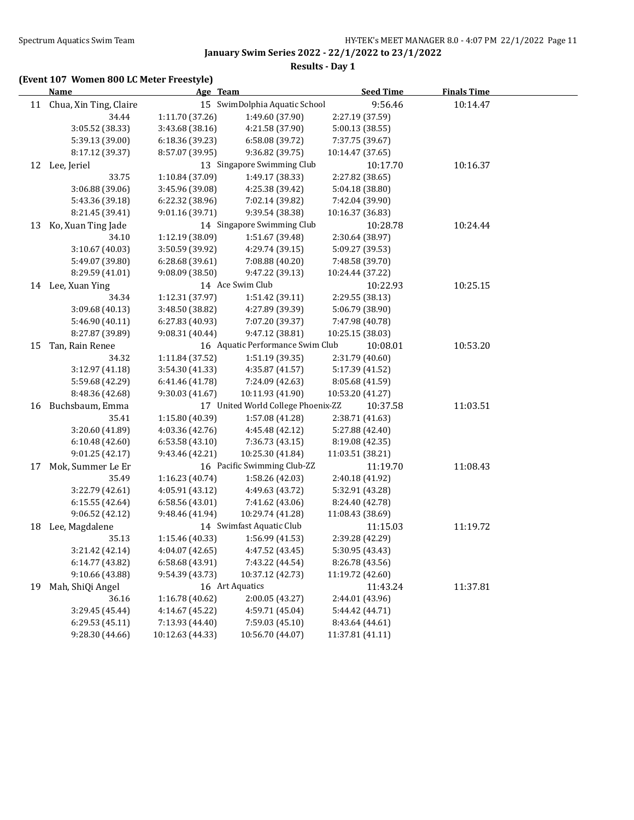## **Results - Day 1**

## **(Event 107 Women 800 LC Meter Freestyle)**

|    | <b>Name</b>               | Age Team         |                                    | <b>Seed Time</b> | <b>Finals Time</b> |  |
|----|---------------------------|------------------|------------------------------------|------------------|--------------------|--|
|    | 11 Chua, Xin Ting, Claire |                  | 15 SwimDolphia Aquatic School      | 9:56.46          | 10:14.47           |  |
|    | 34.44                     | 1:11.70 (37.26)  | 1:49.60 (37.90)                    | 2:27.19 (37.59)  |                    |  |
|    | 3:05.52 (38.33)           | 3:43.68 (38.16)  | 4:21.58 (37.90)                    | 5:00.13 (38.55)  |                    |  |
|    | 5:39.13 (39.00)           | 6:18.36 (39.23)  | 6:58.08 (39.72)                    | 7:37.75 (39.67)  |                    |  |
|    | 8:17.12 (39.37)           | 8:57.07 (39.95)  | 9:36.82 (39.75)                    | 10:14.47 (37.65) |                    |  |
|    | 12 Lee, Jeriel            |                  | 13 Singapore Swimming Club         | 10:17.70         | 10:16.37           |  |
|    | 33.75                     | 1:10.84 (37.09)  | 1:49.17 (38.33)                    | 2:27.82 (38.65)  |                    |  |
|    | 3:06.88 (39.06)           | 3:45.96 (39.08)  | 4:25.38 (39.42)                    | 5:04.18 (38.80)  |                    |  |
|    | 5:43.36 (39.18)           | 6:22.32 (38.96)  | 7:02.14 (39.82)                    | 7:42.04 (39.90)  |                    |  |
|    | 8:21.45 (39.41)           | 9:01.16 (39.71)  | 9:39.54 (38.38)                    | 10:16.37 (36.83) |                    |  |
| 13 | Ko, Xuan Ting Jade        |                  | 14 Singapore Swimming Club         | 10:28.78         | 10:24.44           |  |
|    | 34.10                     | 1:12.19 (38.09)  | 1:51.67 (39.48)                    | 2:30.64 (38.97)  |                    |  |
|    | 3:10.67 (40.03)           | 3:50.59 (39.92)  | 4:29.74 (39.15)                    | 5:09.27 (39.53)  |                    |  |
|    | 5:49.07 (39.80)           | 6:28.68 (39.61)  | 7:08.88 (40.20)                    | 7:48.58 (39.70)  |                    |  |
|    | 8:29.59 (41.01)           | 9:08.09(38.50)   | 9:47.22 (39.13)                    | 10:24.44 (37.22) |                    |  |
|    | 14 Lee, Xuan Ying         |                  | 14 Ace Swim Club                   | 10:22.93         | 10:25.15           |  |
|    | 34.34                     | 1:12.31 (37.97)  | 1:51.42 (39.11)                    | 2:29.55 (38.13)  |                    |  |
|    | 3:09.68 (40.13)           | 3:48.50 (38.82)  | 4:27.89 (39.39)                    | 5:06.79 (38.90)  |                    |  |
|    | 5:46.90 (40.11)           | 6:27.83 (40.93)  | 7:07.20 (39.37)                    | 7:47.98 (40.78)  |                    |  |
|    | 8:27.87 (39.89)           | 9:08.31 (40.44)  | 9:47.12 (38.81)                    | 10:25.15 (38.03) |                    |  |
| 15 | Tan, Rain Renee           |                  | 16 Aquatic Performance Swim Club   | 10:08.01         | 10:53.20           |  |
|    | 34.32                     | 1:11.84 (37.52)  | 1:51.19 (39.35)                    | 2:31.79 (40.60)  |                    |  |
|    | 3:12.97 (41.18)           | 3:54.30 (41.33)  | 4:35.87 (41.57)                    | 5:17.39 (41.52)  |                    |  |
|    | 5:59.68 (42.29)           | 6:41.46 (41.78)  | 7:24.09 (42.63)                    | 8:05.68 (41.59)  |                    |  |
|    | 8:48.36 (42.68)           | 9:30.03 (41.67)  | 10:11.93 (41.90)                   | 10:53.20 (41.27) |                    |  |
| 16 | Buchsbaum, Emma           |                  | 17 United World College Phoenix-ZZ | 10:37.58         | 11:03.51           |  |
|    | 35.41                     | 1:15.80 (40.39)  | 1:57.08 (41.28)                    | 2:38.71 (41.63)  |                    |  |
|    | 3:20.60 (41.89)           | 4:03.36 (42.76)  | 4:45.48 (42.12)                    | 5:27.88 (42.40)  |                    |  |
|    | 6:10.48 (42.60)           | 6:53.58(43.10)   | 7:36.73 (43.15)                    | 8:19.08 (42.35)  |                    |  |
|    | 9:01.25 (42.17)           | 9:43.46 (42.21)  | 10:25.30 (41.84)                   | 11:03.51 (38.21) |                    |  |
| 17 | Mok, Summer Le Er         |                  | 16 Pacific Swimming Club-ZZ        | 11:19.70         | 11:08.43           |  |
|    | 35.49                     | 1:16.23 (40.74)  | 1:58.26 (42.03)                    | 2:40.18 (41.92)  |                    |  |
|    | 3:22.79 (42.61)           | 4:05.91 (43.12)  | 4:49.63 (43.72)                    | 5:32.91 (43.28)  |                    |  |
|    | 6:15.55 (42.64)           | 6:58.56(43.01)   | 7:41.62 (43.06)                    | 8:24.40 (42.78)  |                    |  |
|    | 9:06.52 (42.12)           | 9:48.46 (41.94)  | 10:29.74 (41.28)                   | 11:08.43 (38.69) |                    |  |
| 18 | Lee, Magdalene            |                  | 14 Swimfast Aquatic Club           | 11:15.03         | 11:19.72           |  |
|    | 35.13                     | 1:15.46 (40.33)  | 1:56.99 (41.53)                    | 2:39.28 (42.29)  |                    |  |
|    | 3:21.42 (42.14)           | 4:04.07 (42.65)  | 4:47.52 (43.45)                    | 5:30.95 (43.43)  |                    |  |
|    | 6:14.77 (43.82)           | 6:58.68 (43.91)  | 7:43.22 (44.54)                    | 8:26.78 (43.56)  |                    |  |
|    | 9:10.66 (43.88)           | 9:54.39 (43.73)  | 10:37.12 (42.73)                   | 11:19.72 (42.60) |                    |  |
| 19 | Mah, ShiQi Angel          |                  | 16 Art Aquatics                    | 11:43.24         | 11:37.81           |  |
|    | 36.16                     | 1:16.78 (40.62)  | 2:00.05 (43.27)                    | 2:44.01 (43.96)  |                    |  |
|    | 3:29.45 (45.44)           | 4:14.67 (45.22)  | 4:59.71 (45.04)                    | 5:44.42 (44.71)  |                    |  |
|    | 6:29.53 (45.11)           | 7:13.93 (44.40)  | 7:59.03 (45.10)                    | 8:43.64 (44.61)  |                    |  |
|    | 9:28.30 (44.66)           | 10:12.63 (44.33) | 10:56.70 (44.07)                   | 11:37.81 (41.11) |                    |  |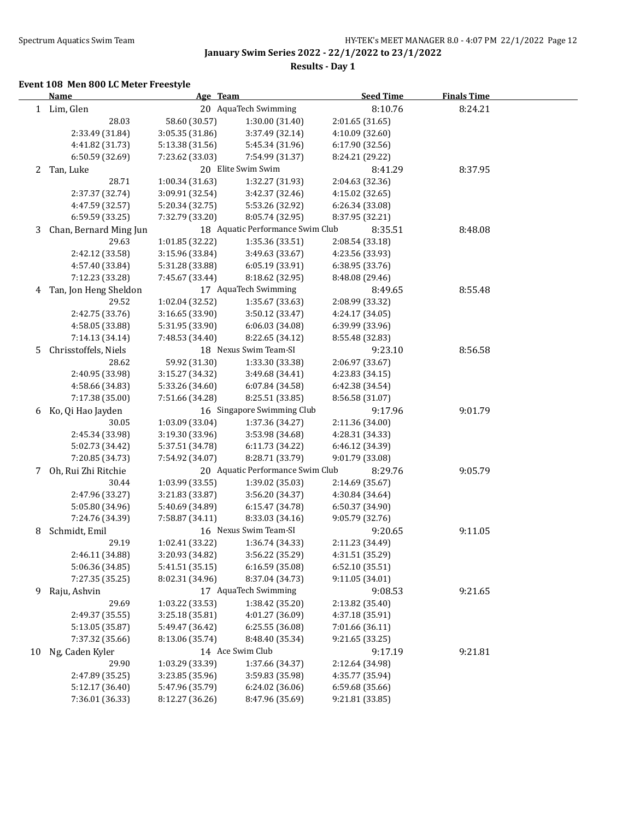**Results - Day 1**

### **Event 108 Men 800 LC Meter Freestyle**

|    | <b>Name</b>            | Age Team        |                                  | <b>Seed Time</b> | <b>Finals Time</b> |  |
|----|------------------------|-----------------|----------------------------------|------------------|--------------------|--|
|    | 1 Lim, Glen            |                 | 20 AquaTech Swimming             | 8:10.76          | 8:24.21            |  |
|    | 28.03                  | 58.60 (30.57)   | 1:30.00 (31.40)                  | 2:01.65 (31.65)  |                    |  |
|    | 2:33.49 (31.84)        | 3:05.35 (31.86) | 3:37.49 (32.14)                  | 4:10.09 (32.60)  |                    |  |
|    | 4:41.82 (31.73)        | 5:13.38 (31.56) | 5:45.34 (31.96)                  | 6:17.90 (32.56)  |                    |  |
|    | 6:50.59 (32.69)        | 7:23.62 (33.03) | 7:54.99 (31.37)                  | 8:24.21 (29.22)  |                    |  |
| 2  | Tan, Luke              |                 | 20 Elite Swim Swim               | 8:41.29          | 8:37.95            |  |
|    | 28.71                  | 1:00.34 (31.63) | 1:32.27 (31.93)                  | 2:04.63 (32.36)  |                    |  |
|    | 2:37.37 (32.74)        | 3:09.91 (32.54) | 3:42.37 (32.46)                  | 4:15.02 (32.65)  |                    |  |
|    | 4:47.59 (32.57)        | 5:20.34 (32.75) | 5:53.26 (32.92)                  | 6:26.34 (33.08)  |                    |  |
|    | 6:59.59 (33.25)        | 7:32.79 (33.20) | 8:05.74 (32.95)                  | 8:37.95 (32.21)  |                    |  |
| 3  | Chan, Bernard Ming Jun |                 | 18 Aquatic Performance Swim Club | 8:35.51          | 8:48.08            |  |
|    | 29.63                  | 1:01.85 (32.22) | 1:35.36 (33.51)                  | 2:08.54 (33.18)  |                    |  |
|    | 2:42.12 (33.58)        | 3:15.96 (33.84) | 3:49.63 (33.67)                  | 4:23.56 (33.93)  |                    |  |
|    | 4:57.40 (33.84)        | 5:31.28 (33.88) | 6:05.19 (33.91)                  | 6:38.95 (33.76)  |                    |  |
|    | 7:12.23 (33.28)        | 7:45.67 (33.44) | 8:18.62 (32.95)                  | 8:48.08 (29.46)  |                    |  |
| 4  | Tan, Jon Heng Sheldon  |                 | 17 AquaTech Swimming             | 8:49.65          | 8:55.48            |  |
|    | 29.52                  | 1:02.04 (32.52) | 1:35.67 (33.63)                  | 2:08.99 (33.32)  |                    |  |
|    | 2:42.75 (33.76)        | 3:16.65 (33.90) | 3:50.12 (33.47)                  | 4:24.17 (34.05)  |                    |  |
|    | 4:58.05 (33.88)        | 5:31.95 (33.90) | 6:06.03(34.08)                   | 6:39.99 (33.96)  |                    |  |
|    | 7:14.13 (34.14)        | 7:48.53 (34.40) | 8:22.65 (34.12)                  | 8:55.48 (32.83)  |                    |  |
| 5. | Chrisstoffels, Niels   |                 | 18 Nexus Swim Team-SI            | 9:23.10          | 8:56.58            |  |
|    | 28.62                  | 59.92 (31.30)   | 1:33.30 (33.38)                  | 2:06.97 (33.67)  |                    |  |
|    | 2:40.95 (33.98)        | 3:15.27 (34.32) | 3:49.68 (34.41)                  | 4:23.83 (34.15)  |                    |  |
|    | 4:58.66 (34.83)        | 5:33.26 (34.60) | 6:07.84 (34.58)                  | 6:42.38 (34.54)  |                    |  |
|    | 7:17.38 (35.00)        | 7:51.66 (34.28) | 8:25.51 (33.85)                  | 8:56.58 (31.07)  |                    |  |
|    | 6 Ko, Qi Hao Jayden    |                 | 16 Singapore Swimming Club       | 9:17.96          | 9:01.79            |  |
|    | 30.05                  | 1:03.09 (33.04) | 1:37.36 (34.27)                  | 2:11.36 (34.00)  |                    |  |
|    | 2:45.34 (33.98)        | 3:19.30 (33.96) | 3:53.98 (34.68)                  | 4:28.31 (34.33)  |                    |  |
|    | 5:02.73 (34.42)        | 5:37.51 (34.78) | 6:11.73 (34.22)                  | 6:46.12 (34.39)  |                    |  |
|    | 7:20.85 (34.73)        | 7:54.92 (34.07) | 8:28.71 (33.79)                  | 9:01.79 (33.08)  |                    |  |
| 7  | Oh, Rui Zhi Ritchie    |                 | 20 Aquatic Performance Swim Club | 8:29.76          | 9:05.79            |  |
|    | 30.44                  | 1:03.99 (33.55) | 1:39.02 (35.03)                  | 2:14.69 (35.67)  |                    |  |
|    | 2:47.96 (33.27)        | 3:21.83 (33.87) | 3:56.20 (34.37)                  | 4:30.84 (34.64)  |                    |  |
|    | 5:05.80 (34.96)        | 5:40.69 (34.89) | 6:15.47 (34.78)                  | 6:50.37 (34.90)  |                    |  |
|    | 7:24.76 (34.39)        | 7:58.87 (34.11) | 8:33.03 (34.16)                  | 9:05.79 (32.76)  |                    |  |
| 8  | Schmidt, Emil          |                 | 16 Nexus Swim Team-SI            | 9:20.65          | 9:11.05            |  |
|    | 29.19                  | 1:02.41 (33.22) | 1:36.74 (34.33)                  | 2:11.23 (34.49)  |                    |  |
|    | 2:46.11 (34.88)        | 3:20.93 (34.82) | 3:56.22 (35.29)                  | 4:31.51 (35.29)  |                    |  |
|    | 5:06.36 (34.85)        | 5:41.51 (35.15) | 6:16.59 (35.08)                  | 6:52.10 (35.51)  |                    |  |
|    | 7:27.35 (35.25)        | 8:02.31 (34.96) | 8:37.04 (34.73)                  | 9:11.05 (34.01)  |                    |  |
| 9. | Raju, Ashvin           |                 | 17 AquaTech Swimming             | 9:08.53          | 9:21.65            |  |
|    | 29.69                  | 1:03.22 (33.53) | 1:38.42 (35.20)                  | 2:13.82 (35.40)  |                    |  |
|    | 2:49.37 (35.55)        | 3:25.18 (35.81) | 4:01.27 (36.09)                  | 4:37.18 (35.91)  |                    |  |
|    | 5:13.05 (35.87)        | 5:49.47 (36.42) | 6:25.55 (36.08)                  | 7:01.66 (36.11)  |                    |  |
|    | 7:37.32 (35.66)        | 8:13.06 (35.74) | 8:48.40 (35.34)                  | 9:21.65 (33.25)  |                    |  |
| 10 | Ng, Caden Kyler        |                 | 14 Ace Swim Club                 | 9:17.19          | 9:21.81            |  |
|    | 29.90                  | 1:03.29 (33.39) | 1:37.66 (34.37)                  | 2:12.64 (34.98)  |                    |  |
|    | 2:47.89 (35.25)        | 3:23.85 (35.96) | 3:59.83 (35.98)                  | 4:35.77 (35.94)  |                    |  |
|    | 5:12.17 (36.40)        | 5:47.96 (35.79) | 6:24.02 (36.06)                  | 6:59.68 (35.66)  |                    |  |
|    | 7:36.01 (36.33)        | 8:12.27 (36.26) | 8:47.96 (35.69)                  | 9:21.81 (33.85)  |                    |  |
|    |                        |                 |                                  |                  |                    |  |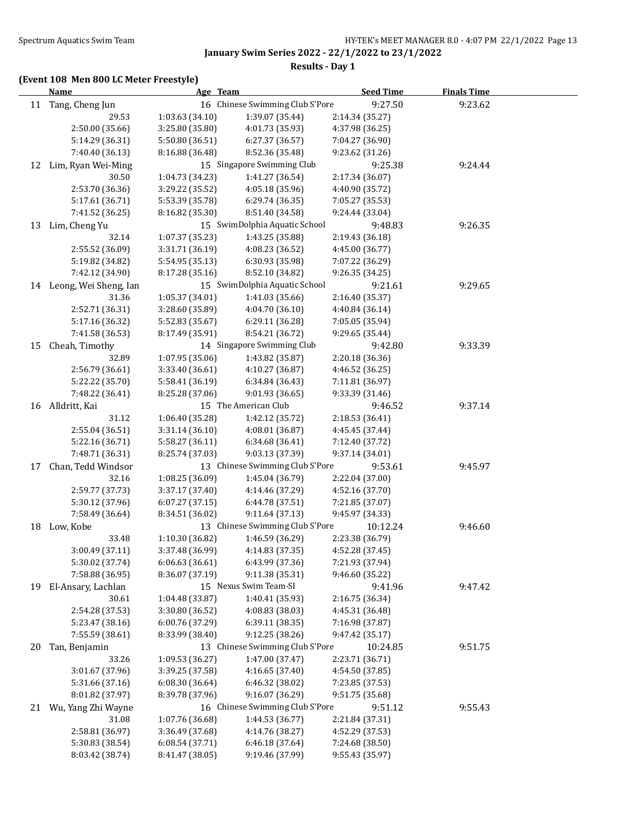## **Results - Day 1**

## **(Event 108 Men 800 LC Meter Freestyle)**

|    | <b>Name</b>              | Age Team        |                                 | <b>Seed Time</b> | <b>Finals Time</b> |  |
|----|--------------------------|-----------------|---------------------------------|------------------|--------------------|--|
|    | 11 Tang, Cheng Jun       |                 | 16 Chinese Swimming Club S'Pore | 9:27.50          | 9:23.62            |  |
|    | 29.53                    | 1:03.63 (34.10) | 1:39.07 (35.44)                 | 2:14.34 (35.27)  |                    |  |
|    | 2:50.00 (35.66)          | 3:25.80 (35.80) | 4:01.73 (35.93)                 | 4:37.98 (36.25)  |                    |  |
|    | 5:14.29 (36.31)          | 5:50.80 (36.51) | 6:27.37 (36.57)                 | 7:04.27 (36.90)  |                    |  |
|    | 7:40.40 (36.13)          | 8:16.88 (36.48) | 8:52.36 (35.48)                 | 9:23.62 (31.26)  |                    |  |
| 12 | Lim, Ryan Wei-Ming       |                 | 15 Singapore Swimming Club      | 9:25.38          | 9:24.44            |  |
|    | 30.50                    | 1:04.73 (34.23) | 1:41.27 (36.54)                 | 2:17.34 (36.07)  |                    |  |
|    | 2:53.70 (36.36)          | 3:29.22 (35.52) | 4:05.18 (35.96)                 | 4:40.90 (35.72)  |                    |  |
|    | 5:17.61 (36.71)          | 5:53.39 (35.78) | 6:29.74(36.35)                  | 7:05.27 (35.53)  |                    |  |
|    | 7:41.52 (36.25)          | 8:16.82 (35.30) | 8:51.40 (34.58)                 | 9:24.44 (33.04)  |                    |  |
| 13 | Lim, Cheng Yu            |                 | 15 SwimDolphia Aquatic School   | 9:48.83          | 9:26.35            |  |
|    | 32.14                    | 1:07.37 (35.23) | 1:43.25 (35.88)                 | 2:19.43 (36.18)  |                    |  |
|    | 2:55.52 (36.09)          | 3:31.71 (36.19) | 4:08.23 (36.52)                 | 4:45.00 (36.77)  |                    |  |
|    | 5:19.82 (34.82)          | 5:54.95 (35.13) | 6:30.93 (35.98)                 | 7:07.22 (36.29)  |                    |  |
|    | 7:42.12 (34.90)          | 8:17.28 (35.16) | 8:52.10 (34.82)                 | 9:26.35 (34.25)  |                    |  |
|    | 14 Leong, Wei Sheng, Ian |                 | 15 SwimDolphia Aquatic School   | 9:21.61          | 9:29.65            |  |
|    | 31.36                    | 1:05.37 (34.01) | 1:41.03 (35.66)                 | 2:16.40 (35.37)  |                    |  |
|    | 2:52.71 (36.31)          | 3:28.60 (35.89) | 4:04.70 (36.10)                 | 4:40.84 (36.14)  |                    |  |
|    | 5:17.16 (36.32)          | 5:52.83 (35.67) | 6:29.11 (36.28)                 | 7:05.05 (35.94)  |                    |  |
|    | 7:41.58 (36.53)          | 8:17.49 (35.91) | 8:54.21 (36.72)                 | 9:29.65 (35.44)  |                    |  |
| 15 | Cheah, Timothy           |                 | 14 Singapore Swimming Club      | 9:42.80          | 9:33.39            |  |
|    | 32.89                    | 1:07.95 (35.06) | 1:43.82 (35.87)                 | 2:20.18 (36.36)  |                    |  |
|    | 2:56.79 (36.61)          | 3:33.40 (36.61) | 4:10.27 (36.87)                 | 4:46.52 (36.25)  |                    |  |
|    | 5:22.22 (35.70)          | 5:58.41 (36.19) | 6:34.84 (36.43)                 | 7:11.81 (36.97)  |                    |  |
|    | 7:48.22 (36.41)          | 8:25.28 (37.06) | 9:01.93 (36.65)                 | 9:33.39 (31.46)  |                    |  |
|    | 16 Alldritt, Kai         |                 | 15 The American Club            | 9:46.52          | 9:37.14            |  |
|    | 31.12                    | 1:06.40 (35.28) | 1:42.12 (35.72)                 | 2:18.53 (36.41)  |                    |  |
|    | 2:55.04 (36.51)          | 3:31.14 (36.10) | 4:08.01 (36.87)                 | 4:45.45 (37.44)  |                    |  |
|    | 5:22.16 (36.71)          | 5:58.27 (36.11) | 6:34.68 (36.41)                 | 7:12.40 (37.72)  |                    |  |
|    | 7:48.71 (36.31)          | 8:25.74 (37.03) | 9:03.13 (37.39)                 | 9:37.14 (34.01)  |                    |  |
| 17 | Chan, Tedd Windsor       |                 | 13 Chinese Swimming Club S'Pore | 9:53.61          | 9:45.97            |  |
|    | 32.16                    | 1:08.25 (36.09) | 1:45.04 (36.79)                 | 2:22.04 (37.00)  |                    |  |
|    | 2:59.77 (37.73)          | 3:37.17 (37.40) | 4:14.46 (37.29)                 | 4:52.16 (37.70)  |                    |  |
|    | 5:30.12 (37.96)          | 6:07.27(37.15)  | 6:44.78 (37.51)                 | 7:21.85 (37.07)  |                    |  |
|    | 7:58.49 (36.64)          | 8:34.51 (36.02) | 9:11.64 (37.13)                 | 9:45.97 (34.33)  |                    |  |
|    | 18 Low, Kobe             |                 | 13 Chinese Swimming Club S'Pore | 10:12.24         | 9:46.60            |  |
|    | 33.48                    | 1:10.30 (36.82) | 1:46.59 (36.29)                 | 2:23.38 (36.79)  |                    |  |
|    | 3:00.49 (37.11)          | 3:37.48 (36.99) | 4:14.83 (37.35)                 | 4:52.28 (37.45)  |                    |  |
|    | 5:30.02 (37.74)          | 6:06.63(36.61)  | 6:43.99 (37.36)                 | 7:21.93 (37.94)  |                    |  |
|    | 7:58.88 (36.95)          | 8:36.07 (37.19) | 9:11.38 (35.31)                 | 9:46.60 (35.22)  |                    |  |
| 19 | El-Ansary, Lachlan       |                 | 15 Nexus Swim Team-SI           | 9:41.96          | 9:47.42            |  |
|    | 30.61                    | 1:04.48 (33.87) | 1:40.41 (35.93)                 | 2:16.75 (36.34)  |                    |  |
|    | 2:54.28 (37.53)          | 3:30.80 (36.52) | 4:08.83 (38.03)                 | 4:45.31 (36.48)  |                    |  |
|    | 5:23.47 (38.16)          | 6:00.76 (37.29) | 6:39.11 (38.35)                 | 7:16.98 (37.87)  |                    |  |
|    | 7:55.59 (38.61)          | 8:33.99 (38.40) | 9:12.25 (38.26)                 | 9:47.42 (35.17)  |                    |  |
| 20 | Tan, Benjamin            |                 | 13 Chinese Swimming Club S'Pore | 10:24.85         | 9:51.75            |  |
|    | 33.26                    | 1:09.53 (36.27) | 1:47.00 (37.47)                 | 2:23.71 (36.71)  |                    |  |
|    | 3:01.67 (37.96)          | 3:39.25 (37.58) | 4:16.65 (37.40)                 | 4:54.50 (37.85)  |                    |  |
|    | 5:31.66 (37.16)          | 6:08.30 (36.64) | 6:46.32 (38.02)                 | 7:23.85 (37.53)  |                    |  |
|    | 8:01.82 (37.97)          | 8:39.78 (37.96) | 9:16.07 (36.29)                 | 9:51.75 (35.68)  |                    |  |
|    | 21 Wu, Yang Zhi Wayne    |                 | 16 Chinese Swimming Club S'Pore | 9:51.12          | 9:55.43            |  |
|    | 31.08                    | 1:07.76 (36.68) | 1:44.53 (36.77)                 | 2:21.84 (37.31)  |                    |  |
|    | 2:58.81 (36.97)          | 3:36.49 (37.68) | 4:14.76 (38.27)                 | 4:52.29 (37.53)  |                    |  |
|    | 5:30.83 (38.54)          | 6:08.54 (37.71) | 6:46.18 (37.64)                 | 7:24.68 (38.50)  |                    |  |
|    | 8:03.42 (38.74)          | 8:41.47 (38.05) | 9:19.46 (37.99)                 | 9:55.43 (35.97)  |                    |  |
|    |                          |                 |                                 |                  |                    |  |